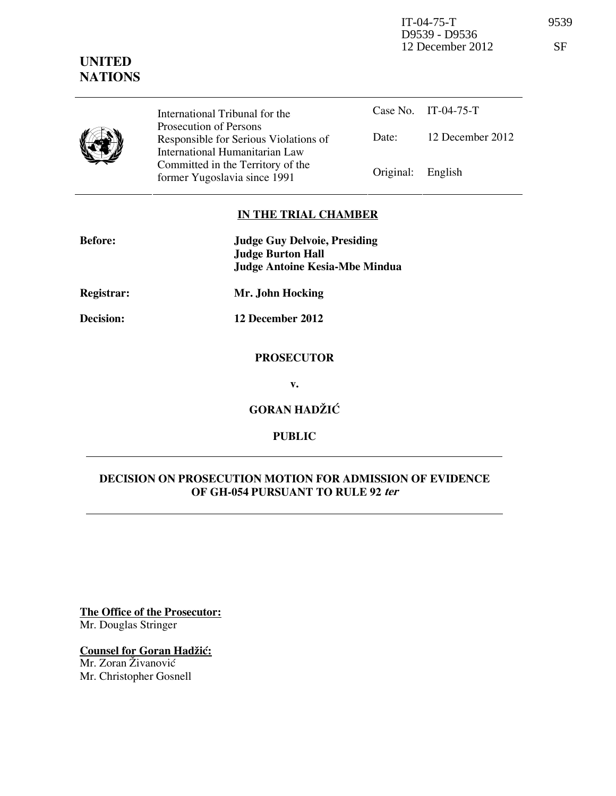IT-04-75-T 9539 D9539 - D9536 12 December 2012 SF

## **UNITED NATIONS**

| International Tribunal for the                                                                    |                   | Case No. IT-04-75-T |
|---------------------------------------------------------------------------------------------------|-------------------|---------------------|
| Prosecution of Persons<br>Responsible for Serious Violations of<br>International Humanitarian Law | Date:             | 12 December 2012    |
| Committed in the Territory of the<br>former Yugoslavia since 1991                                 | Original: English |                     |

### **IN THE TRIAL CHAMBER**

| <b>Before:</b> | <b>Judge Guy Delvoie, Presiding</b><br><b>Judge Burton Hall</b><br><b>Judge Antoine Kesia-Mbe Mindua</b> |
|----------------|----------------------------------------------------------------------------------------------------------|
| Registrar:     | Mr. John Hocking                                                                                         |
| Decision:      | 12 December 2012                                                                                         |
|                | <b>PROSECUTOR</b>                                                                                        |
|                | v.                                                                                                       |
|                | <b>GORAN HADŽIĆ</b>                                                                                      |

**PUBLIC** 

## **DECISION ON PROSECUTION MOTION FOR ADMISSION OF EVIDENCE OF GH-054 PURSUANT TO RULE 92 ter**

**The Office of the Prosecutor:** Mr. Douglas Stringer

# **Counsel for Goran Hadžić:**

Mr. Zoran Živanović Mr. Christopher Gosnell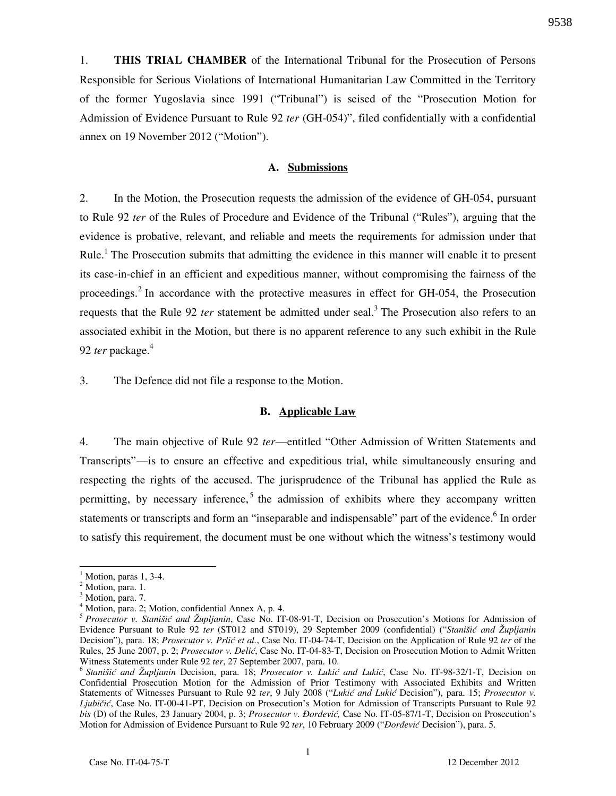1. **THIS TRIAL CHAMBER** of the International Tribunal for the Prosecution of Persons Responsible for Serious Violations of International Humanitarian Law Committed in the Territory of the former Yugoslavia since 1991 ("Tribunal") is seised of the "Prosecution Motion for Admission of Evidence Pursuant to Rule 92 *ter* (GH-054)", filed confidentially with a confidential annex on 19 November 2012 ("Motion").

#### **A. Submissions**

2. In the Motion, the Prosecution requests the admission of the evidence of GH-054, pursuant to Rule 92 *ter* of the Rules of Procedure and Evidence of the Tribunal ("Rules"), arguing that the evidence is probative, relevant, and reliable and meets the requirements for admission under that Rule.<sup>1</sup> The Prosecution submits that admitting the evidence in this manner will enable it to present its case-in-chief in an efficient and expeditious manner, without compromising the fairness of the proceedings.<sup>2</sup> In accordance with the protective measures in effect for GH-054, the Prosecution requests that the Rule 92 *ter* statement be admitted under seal.<sup>3</sup> The Prosecution also refers to an associated exhibit in the Motion, but there is no apparent reference to any such exhibit in the Rule 92 *ter* package.<sup>4</sup>

3. The Defence did not file a response to the Motion.

#### **B. Applicable Law**

4. The main objective of Rule 92 *ter*—entitled "Other Admission of Written Statements and Transcripts"—is to ensure an effective and expeditious trial, while simultaneously ensuring and respecting the rights of the accused. The jurisprudence of the Tribunal has applied the Rule as permitting, by necessary inference,<sup>5</sup> the admission of exhibits where they accompany written statements or transcripts and form an "inseparable and indispensable" part of the evidence.<sup>6</sup> In order to satisfy this requirement, the document must be one without which the witness's testimony would

 $\overline{a}$ 

 $<sup>1</sup>$  Motion, paras 1, 3-4.</sup>

<sup>&</sup>lt;sup>2</sup> Motion, para. 1.

<sup>&</sup>lt;sup>3</sup> Motion, para. 7.

<sup>4</sup> Motion, para. 2; Motion, confidential Annex A, p. 4.

<sup>5</sup> *Prosecutor v. Stanišić and Župljanin*, Case No. IT-08-91-T, Decision on Prosecution's Motions for Admission of Evidence Pursuant to Rule 92 *ter* (ST012 and ST019), 29 September 2009 (confidential) ("*Stanišić and Župljanin* Decision"), para. 18; *Prosecutor v. Prlić et al.*, Case No. IT-04-74-T, Decision on the Application of Rule 92 *ter* of the Rules, 25 June 2007, p. 2; *Prosecutor v. Delić*, Case No. IT-04-83-T, Decision on Prosecution Motion to Admit Written Witness Statements under Rule 92 *ter*, 27 September 2007, para. 10.

<sup>&</sup>lt;sup>6</sup> Stanišić and Župljanin Decision, para. 18; *Prosecutor v. Lukić and Lukić*, Case No. IT-98-32/1-T, Decision on Confidential Prosecution Motion for the Admission of Prior Testimony with Associated Exhibits and Written Statements of Witnesses Pursuant to Rule 92 ter, 9 July 2008 ("Lukić and Lukić Decision"), para. 15; *Prosecutor v. Ljubičić*, Case No. IT-00-41-PT, Decision on Prosecution's Motion for Admission of Transcripts Pursuant to Rule 92 *bis* (D) of the Rules, 23 January 2004, p. 3; *Prosecutor v. Đorđević*, Case No. IT-05-87/1-T, Decision on Prosecution's Motion for Admission of Evidence Pursuant to Rule 92 ter, 10 February 2009 ("*Đorđević* Decision"), para. 5.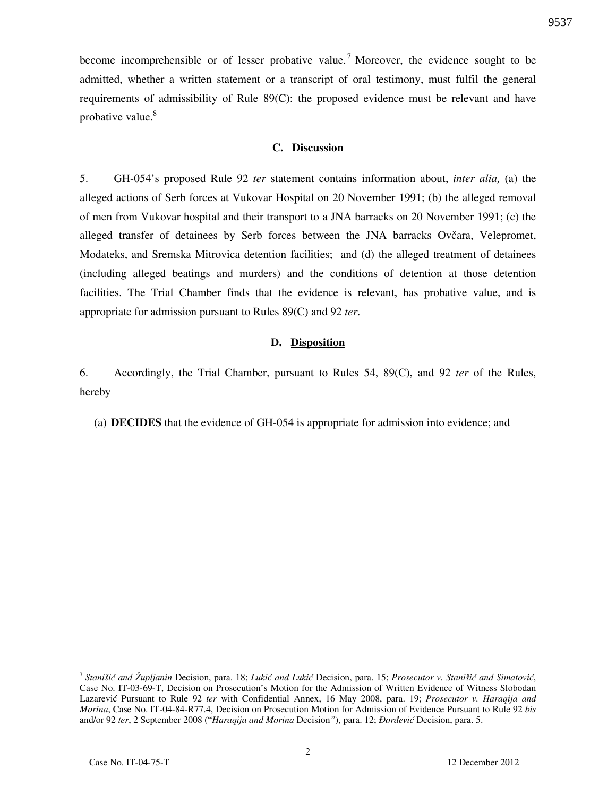become incomprehensible or of lesser probative value.<sup>7</sup> Moreover, the evidence sought to be admitted, whether a written statement or a transcript of oral testimony, must fulfil the general requirements of admissibility of Rule 89(C): the proposed evidence must be relevant and have probative value.<sup>8</sup>

#### **C. Discussion**

5. GH-054's proposed Rule 92 *ter* statement contains information about, *inter alia,* (a) the alleged actions of Serb forces at Vukovar Hospital on 20 November 1991; (b) the alleged removal of men from Vukovar hospital and their transport to a JNA barracks on 20 November 1991; (c) the alleged transfer of detainees by Serb forces between the JNA barracks Ovčara, Velepromet, Modateks, and Sremska Mitrovica detention facilities; and (d) the alleged treatment of detainees (including alleged beatings and murders) and the conditions of detention at those detention facilities. The Trial Chamber finds that the evidence is relevant, has probative value, and is appropriate for admission pursuant to Rules 89(C) and 92 *ter*.

#### **D. Disposition**

6. Accordingly, the Trial Chamber, pursuant to Rules 54, 89(C), and 92 *ter* of the Rules, hereby

(a) **DECIDES** that the evidence of GH-054 is appropriate for admission into evidence; and

 $\overline{a}$ 

<sup>&</sup>lt;sup>7</sup> Stanišić and Župljanin Decision, para. 18; Lukić and Lukić Decision, para. 15; *Prosecutor v. Stanišić and Simatović*, Case No. IT-03-69-T, Decision on Prosecution's Motion for the Admission of Written Evidence of Witness Slobodan Lazarevi} Pursuant to Rule 92 *ter* with Confidential Annex, 16 May 2008, para. 19; *Prosecutor v. Haraqija and Morina*, Case No. IT-04-84-R77.4, Decision on Prosecution Motion for Admission of Evidence Pursuant to Rule 92 *bis* and/or 92 ter, 2 September 2008 ("*Haraqija and Morina* Decision"), para. 12; *Đorđević* Decision, para. 5.